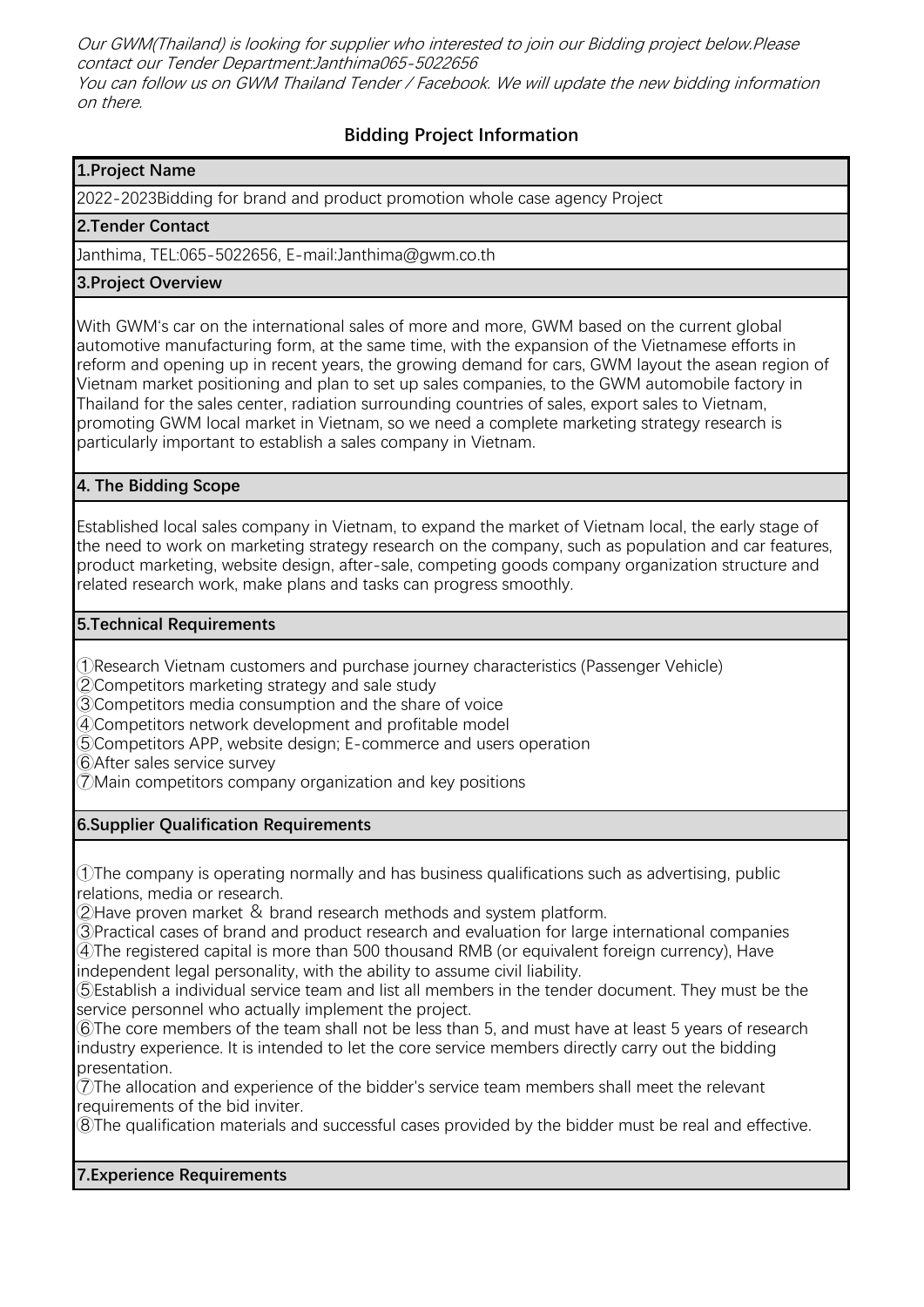Our GWM(Thailand) is looking for supplier who interested to join our Bidding project below.Please contact our Tender Department:Janthima065-5022656 You can follow us on GWM Thailand Tender / Facebook. We will update the new bidding information on there.

# **Bidding Project Information**

### **1.Project Name**

2022-2023Bidding for brand and product promotion whole case agency Project

#### **2.Tender Contact**

Janthima, TEL:065-5022656, E-mail:Janthima@gwm.co.th

#### **3.Project Overview**

With GWM's car on the international sales of more and more, GWM based on the current global automotive manufacturing form, at the same time, with the expansion of the Vietnamese efforts in reform and opening up in recent years, the growing demand for cars, GWM layout the asean region of Vietnam market positioning and plan to set up sales companies, to the GWM automobile factory in Thailand for the sales center, radiation surrounding countries of sales, export sales to Vietnam, promoting GWM local market in Vietnam, so we need a complete marketing strategy research is particularly important to establish a sales company in Vietnam.

#### **4. The Bidding Scope**

Established local sales company in Vietnam, to expand the market of Vietnam local, the early stage of the need to work on marketing strategy research on the company, such as population and car features, product marketing, website design, after-sale, competing goods company organization structure and related research work, make plans and tasks can progress smoothly.

#### **5.Technical Requirements**

①Research Vietnam customers and purchase journey characteristics (Passenger Vehicle)

②Competitors marketing strategy and sale study

③Competitors media consumption and the share of voice

④Competitors network development and profitable model

⑤Competitors APP, website design; E-commerce and users operation

⑥After sales service survey

⑦Main competitors company organization and key positions

## **6.Supplier Qualification Requirements**

①The company is operating normally and has business qualifications such as advertising, public relations, media or research.

②Have proven market & brand research methods and system platform.

③Practical cases of brand and product research and evaluation for large international companies ④The registered capital is more than 500 thousand RMB (or equivalent foreign currency), Have independent legal personality, with the ability to assume civil liability.

⑤Establish a individual service team and list all members in the tender document. They must be the service personnel who actually implement the project.

⑥The core members of the team shall not be less than 5, and must have at least 5 years of research industry experience. It is intended to let the core service members directly carry out the bidding presentation.

⑦The allocation and experience of the bidder's service team members shall meet the relevant requirements of the bid inviter.

⑧The qualification materials and successful cases provided by the bidder must be real and effective.

## **7.Experience Requirements**